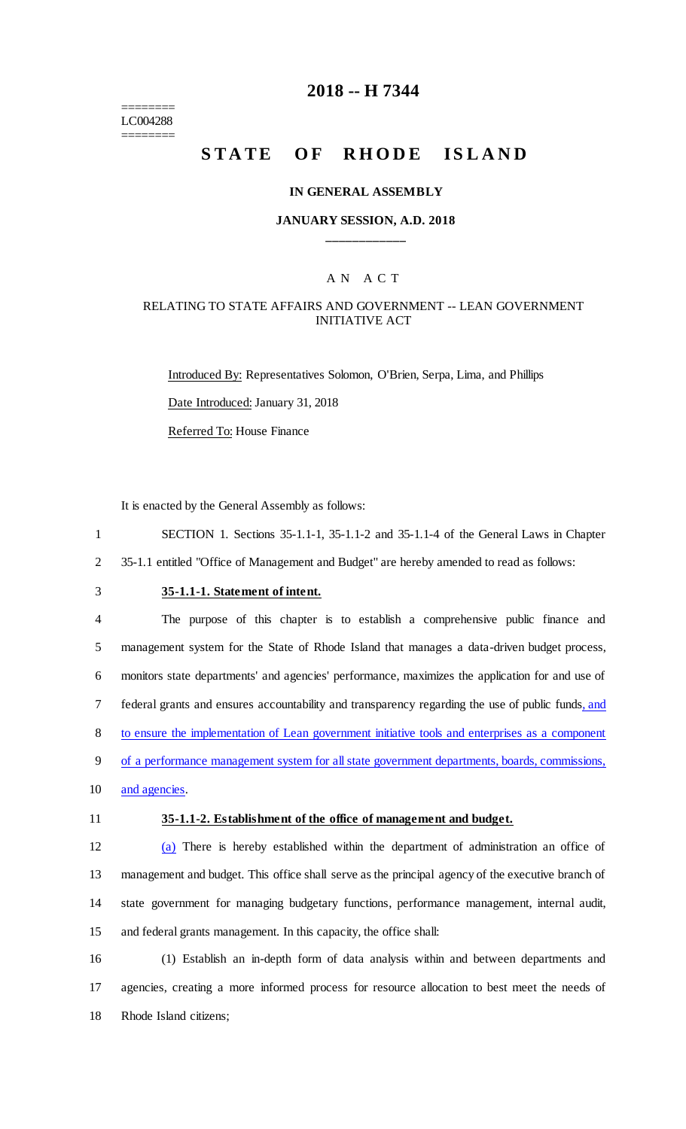======== LC004288 ========

## **2018 -- H 7344**

# **STATE OF RHODE ISLAND**

### **IN GENERAL ASSEMBLY**

### **JANUARY SESSION, A.D. 2018 \_\_\_\_\_\_\_\_\_\_\_\_**

### A N A C T

### RELATING TO STATE AFFAIRS AND GOVERNMENT -- LEAN GOVERNMENT INITIATIVE ACT

Introduced By: Representatives Solomon, O'Brien, Serpa, Lima, and Phillips Date Introduced: January 31, 2018 Referred To: House Finance

It is enacted by the General Assembly as follows:

1 SECTION 1. Sections 35-1.1-1, 35-1.1-2 and 35-1.1-4 of the General Laws in Chapter 2 35-1.1 entitled "Office of Management and Budget" are hereby amended to read as follows:

## 3 **35-1.1-1. Statement of intent.**

 The purpose of this chapter is to establish a comprehensive public finance and management system for the State of Rhode Island that manages a data-driven budget process, monitors state departments' and agencies' performance, maximizes the application for and use of 7 federal grants and ensures accountability and transparency regarding the use of public funds, and to ensure the implementation of Lean government initiative tools and enterprises as a component of a performance management system for all state government departments, boards, commissions, 10 and agencies.

### 11 **35-1.1-2. Establishment of the office of management and budget.**

 (a) There is hereby established within the department of administration an office of management and budget. This office shall serve as the principal agency of the executive branch of state government for managing budgetary functions, performance management, internal audit, and federal grants management. In this capacity, the office shall:

16 (1) Establish an in-depth form of data analysis within and between departments and 17 agencies, creating a more informed process for resource allocation to best meet the needs of 18 Rhode Island citizens;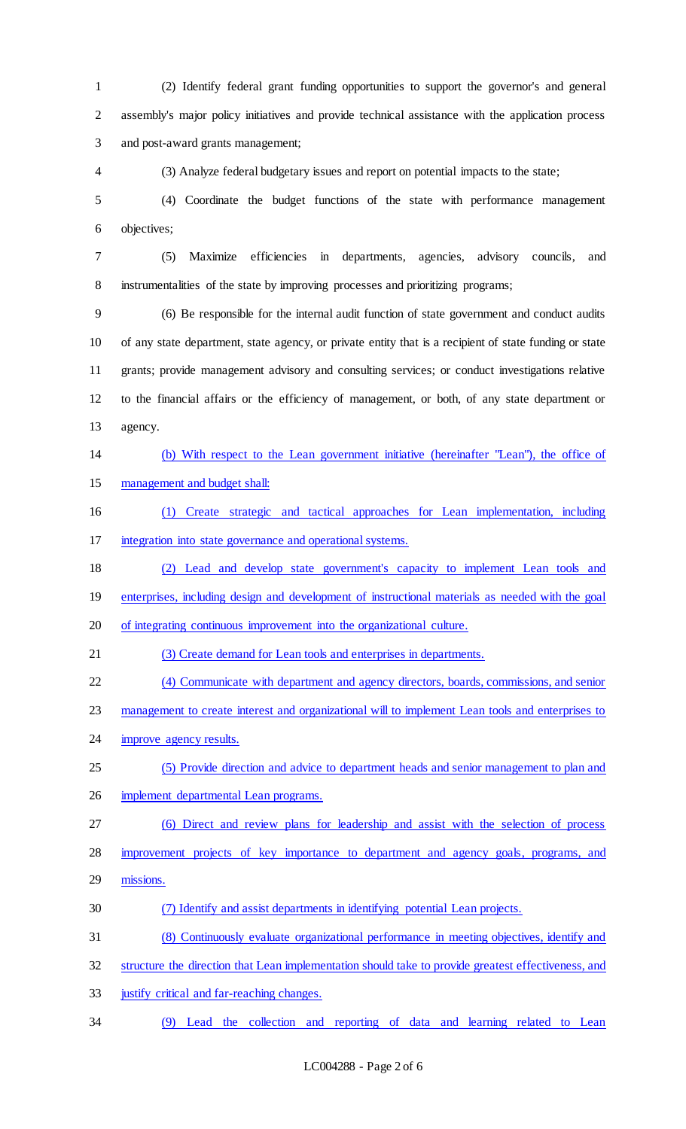(2) Identify federal grant funding opportunities to support the governor's and general assembly's major policy initiatives and provide technical assistance with the application process and post-award grants management;

(3) Analyze federal budgetary issues and report on potential impacts to the state;

 (4) Coordinate the budget functions of the state with performance management objectives;

 (5) Maximize efficiencies in departments, agencies, advisory councils, and instrumentalities of the state by improving processes and prioritizing programs;

 (6) Be responsible for the internal audit function of state government and conduct audits of any state department, state agency, or private entity that is a recipient of state funding or state grants; provide management advisory and consulting services; or conduct investigations relative to the financial affairs or the efficiency of management, or both, of any state department or agency.

 (b) With respect to the Lean government initiative (hereinafter "Lean"), the office of management and budget shall:

 (1) Create strategic and tactical approaches for Lean implementation, including integration into state governance and operational systems.

 (2) Lead and develop state government's capacity to implement Lean tools and enterprises, including design and development of instructional materials as needed with the goal

of integrating continuous improvement into the organizational culture.

(3) Create demand for Lean tools and enterprises in departments.

(4) Communicate with department and agency directors, boards, commissions, and senior

management to create interest and organizational will to implement Lean tools and enterprises to

24 improve agency results.

 (5) Provide direction and advice to department heads and senior management to plan and implement departmental Lean programs.

(6) Direct and review plans for leadership and assist with the selection of process

28 improvement projects of key importance to department and agency goals, programs, and

missions.

(7) Identify and assist departments in identifying potential Lean projects.

(8) Continuously evaluate organizational performance in meeting objectives, identify and

structure the direction that Lean implementation should take to provide greatest effectiveness, and

justify critical and far-reaching changes.

(9) Lead the collection and reporting of data and learning related to Lean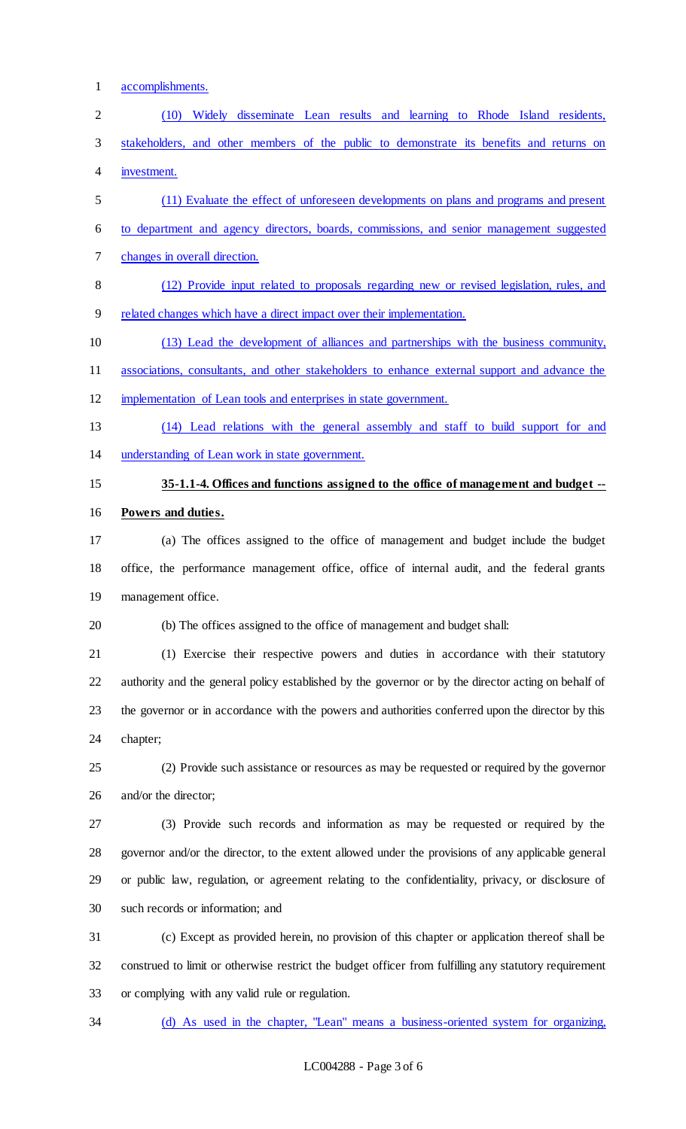accomplishments. (10) Widely disseminate Lean results and learning to Rhode Island residents, stakeholders, and other members of the public to demonstrate its benefits and returns on investment. (11) Evaluate the effect of unforeseen developments on plans and programs and present to department and agency directors, boards, commissions, and senior management suggested changes in overall direction. (12) Provide input related to proposals regarding new or revised legislation, rules, and related changes which have a direct impact over their implementation. (13) Lead the development of alliances and partnerships with the business community, associations, consultants, and other stakeholders to enhance external support and advance the implementation of Lean tools and enterprises in state government. (14) Lead relations with the general assembly and staff to build support for and understanding of Lean work in state government. **35-1.1-4. Offices and functions assigned to the office of management and budget -- Powers and duties.** (a) The offices assigned to the office of management and budget include the budget office, the performance management office, office of internal audit, and the federal grants management office. (b) The offices assigned to the office of management and budget shall: (1) Exercise their respective powers and duties in accordance with their statutory authority and the general policy established by the governor or by the director acting on behalf of the governor or in accordance with the powers and authorities conferred upon the director by this chapter; (2) Provide such assistance or resources as may be requested or required by the governor and/or the director; (3) Provide such records and information as may be requested or required by the governor and/or the director, to the extent allowed under the provisions of any applicable general or public law, regulation, or agreement relating to the confidentiality, privacy, or disclosure of such records or information; and (c) Except as provided herein, no provision of this chapter or application thereof shall be construed to limit or otherwise restrict the budget officer from fulfilling any statutory requirement or complying with any valid rule or regulation.

(d) As used in the chapter, "Lean" means a business-oriented system for organizing,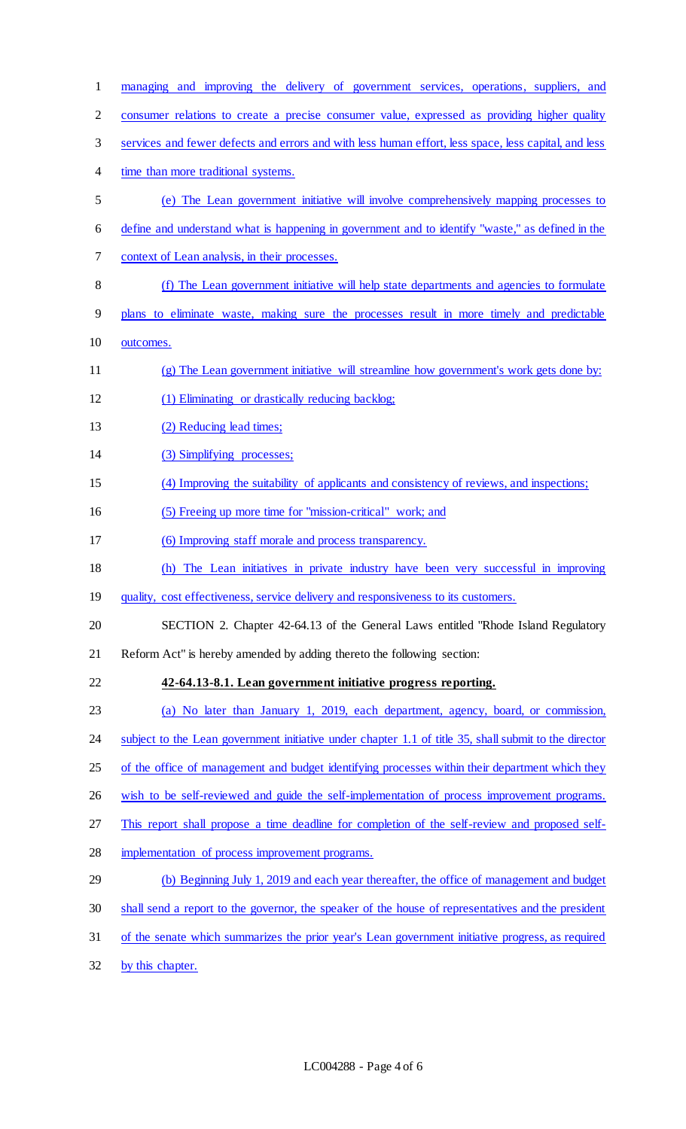| $\mathbf{1}$ | managing and improving the delivery of government services, operations, suppliers, and                |
|--------------|-------------------------------------------------------------------------------------------------------|
| 2            | consumer relations to create a precise consumer value, expressed as providing higher quality          |
| 3            | services and fewer defects and errors and with less human effort, less space, less capital, and less  |
| 4            | time than more traditional systems.                                                                   |
| 5            | (e) The Lean government initiative will involve comprehensively mapping processes to                  |
| 6            | define and understand what is happening in government and to identify "waste," as defined in the      |
| 7            | context of Lean analysis, in their processes.                                                         |
| 8            | (f) The Lean government initiative will help state departments and agencies to formulate              |
| 9            | plans to eliminate waste, making sure the processes result in more timely and predictable             |
| 10           | outcomes.                                                                                             |
| 11           | (g) The Lean government initiative will streamline how government's work gets done by:                |
| 12           | (1) Eliminating or drastically reducing backlog;                                                      |
| 13           | (2) Reducing lead times;                                                                              |
| 14           | (3) Simplifying processes;                                                                            |
| 15           | (4) Improving the suitability of applicants and consistency of reviews, and inspections;              |
| 16           | (5) Freeing up more time for "mission-critical" work; and                                             |
| 17           | (6) Improving staff morale and process transparency.                                                  |
| 18           | (h) The Lean initiatives in private industry have been very successful in improving                   |
| 19           | quality, cost effectiveness, service delivery and responsiveness to its customers.                    |
| 20           | SECTION 2. Chapter 42-64.13 of the General Laws entitled "Rhode Island Regulatory"                    |
| 21           | Reform Act" is hereby amended by adding thereto the following section:                                |
| 22           | 42-64.13-8.1. Lean government initiative progress reporting.                                          |
| 23           | (a) No later than January 1, 2019, each department, agency, board, or commission,                     |
| 24           | subject to the Lean government initiative under chapter 1.1 of title 35, shall submit to the director |
| 25           | of the office of management and budget identifying processes within their department which they       |
| 26           | wish to be self-reviewed and guide the self-implementation of process improvement programs.           |
| 27           | This report shall propose a time deadline for completion of the self-review and proposed self-        |
| 28           | implementation of process improvement programs.                                                       |
| 29           | (b) Beginning July 1, 2019 and each year thereafter, the office of management and budget              |
| 30           | shall send a report to the governor, the speaker of the house of representatives and the president    |
| 31           | of the senate which summarizes the prior year's Lean government initiative progress, as required      |
| 32           | by this chapter.                                                                                      |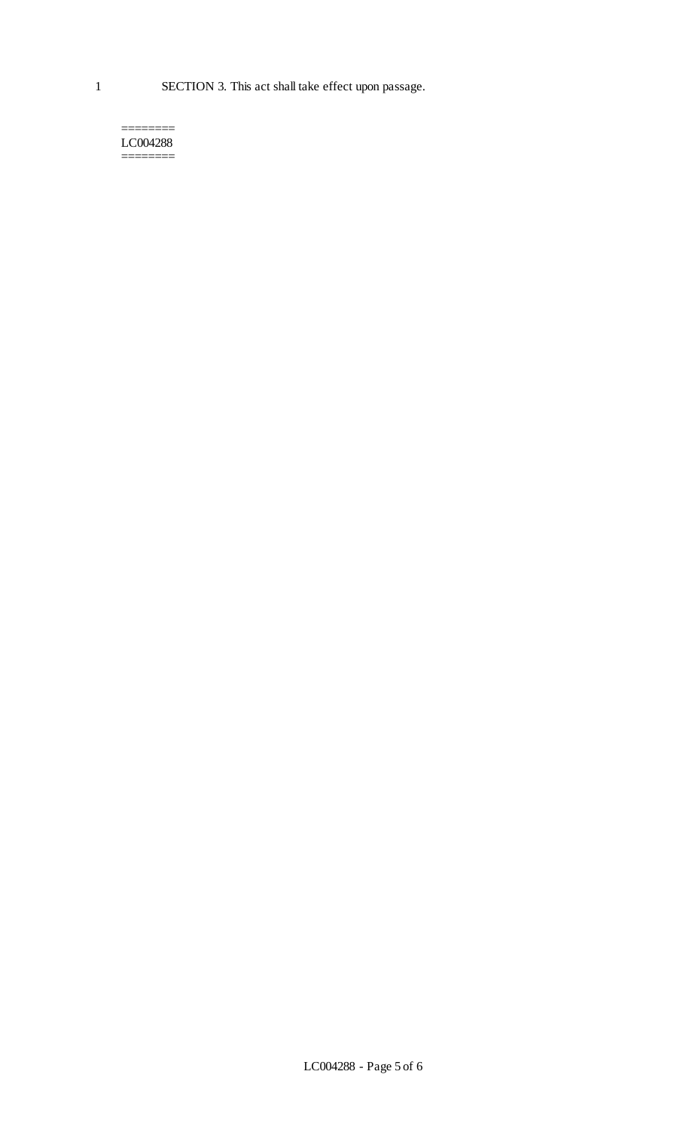1 SECTION 3. This act shall take effect upon passage.

#### ======== LC004288 ========